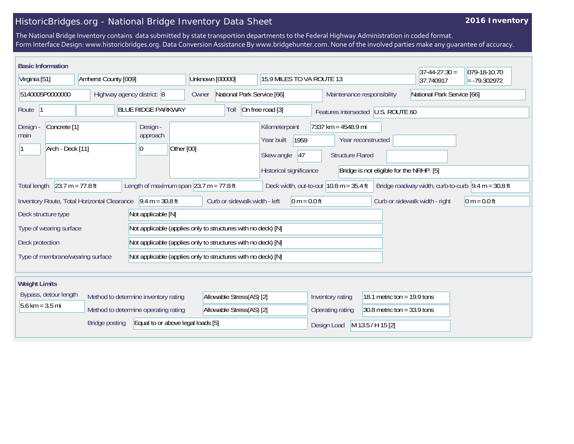## HistoricBridges.org - National Bridge Inventory Data Sheet

## **2016 Inventory**

The National Bridge Inventory contains data submitted by state transportion departments to the Federal Highway Administration in coded format. Form Interface Design: www.historicbridges.org. Data Conversion Assistance By www.bridgehunter.com. None of the involved parties make any guarantee of accuracy.

| <b>Basic Information</b>                                                                                                                                                                                                                                        |  |                                                              |                                                              |                                                                                     |                                                          |                               | $37 - 44 - 27.30 =$ | 079-18-10.70 |
|-----------------------------------------------------------------------------------------------------------------------------------------------------------------------------------------------------------------------------------------------------------------|--|--------------------------------------------------------------|--------------------------------------------------------------|-------------------------------------------------------------------------------------|----------------------------------------------------------|-------------------------------|---------------------|--------------|
| Virginia [51]<br>Amherst County [009]                                                                                                                                                                                                                           |  | Unknown [00000]<br>15.9 MILES TO VA ROUTE 13                 |                                                              |                                                                                     |                                                          | 37.740917                     | $= -79.302972$      |              |
| 5140005P0000000<br>Highway agency district: 8                                                                                                                                                                                                                   |  | Owner                                                        | National Park Service [66]                                   |                                                                                     | National Park Service [66]<br>Maintenance responsibility |                               |                     |              |
| <b>BLUE RIDGE PARKWAY</b><br>Route  1                                                                                                                                                                                                                           |  |                                                              | Toll                                                         | On free road [3]                                                                    | Features intersected U.S. ROUTE 60                       |                               |                     |              |
| Concrete <sup>[1]</sup><br>Design<br>main<br>Arch - Deck [11]                                                                                                                                                                                                   |  | Design -<br>approach<br>Other [00]<br>$\overline{0}$         |                                                              | Kilometerpoint<br>1959<br>Year built<br>47<br>Skew angle<br>Historical significance | $7337$ km = 4548.9 mi<br><b>Structure Flared</b>         | Year reconstructed            |                     |              |
| Bridge is not eligible for the NRHP. [5]<br>$23.7 m = 77.8 ft$<br>Length of maximum span $ 23.7 \text{ m} = 77.8 \text{ ft}$<br>Deck width, out-to-out $10.8$ m = 35.4 ft<br>Bridge roadway width, curb-to-curb $\sqrt{9.4}$ m = 30.8 ft<br><b>Total length</b> |  |                                                              |                                                              |                                                                                     |                                                          |                               |                     |              |
| $9.4 m = 30.8 ft$<br>Curb or sidewalk width - left<br>$0 m = 0.0 ft$<br>Inventory Route, Total Horizontal Clearance<br>Curb or sidewalk width - right<br>$0 m = 0.0 ft$                                                                                         |  |                                                              |                                                              |                                                                                     |                                                          |                               |                     |              |
| Deck structure type<br>Not applicable [N]                                                                                                                                                                                                                       |  |                                                              |                                                              |                                                                                     |                                                          |                               |                     |              |
| Type of wearing surface                                                                                                                                                                                                                                         |  |                                                              | Not applicable (applies only to structures with no deck) [N] |                                                                                     |                                                          |                               |                     |              |
| Deck protection                                                                                                                                                                                                                                                 |  | Not applicable (applies only to structures with no deck) [N] |                                                              |                                                                                     |                                                          |                               |                     |              |
| Type of membrane/wearing surface                                                                                                                                                                                                                                |  |                                                              | Not applicable (applies only to structures with no deck) [N] |                                                                                     |                                                          |                               |                     |              |
|                                                                                                                                                                                                                                                                 |  |                                                              |                                                              |                                                                                     |                                                          |                               |                     |              |
| <b>Weight Limits</b>                                                                                                                                                                                                                                            |  |                                                              |                                                              |                                                                                     |                                                          |                               |                     |              |
| Bypass, detour length<br>Method to determine inventory rating                                                                                                                                                                                                   |  |                                                              | Allowable Stress(AS) [2]                                     |                                                                                     | Inventory rating<br>18.1 metric ton = $19.9$ tons        |                               |                     |              |
| $5.6 \text{ km} = 3.5 \text{ mi}$                                                                                                                                                                                                                               |  | Method to determine operating rating                         | Allowable Stress(AS) [2]                                     |                                                                                     | Operating rating                                         | $30.8$ metric ton = 33.9 tons |                     |              |
| Equal to or above legal loads [5]<br><b>Bridge posting</b>                                                                                                                                                                                                      |  |                                                              |                                                              | Design Load                                                                         | M 13.5 / H 15 [2]                                        |                               |                     |              |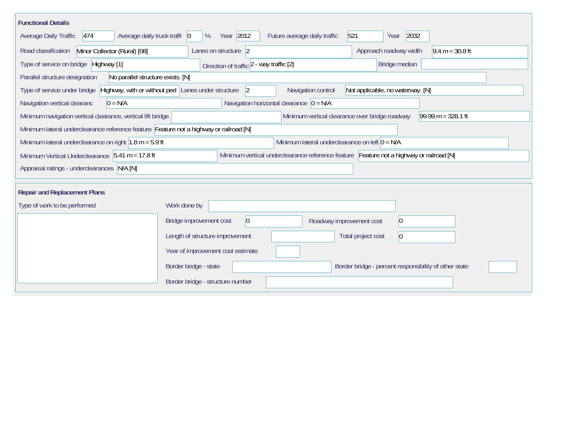| <b>Functional Details</b>                                                                                                             |                                                                                                                           |  |  |  |  |  |  |  |
|---------------------------------------------------------------------------------------------------------------------------------------|---------------------------------------------------------------------------------------------------------------------------|--|--|--|--|--|--|--|
| 474<br>Average daily truck traffi 0<br><b>Average Daily Traffic</b>                                                                   | Year 2012<br>2032<br>Future average daily traffic<br>521<br>%<br>Year                                                     |  |  |  |  |  |  |  |
| Minor Collector (Rural) [08]<br>Road classification                                                                                   | Lanes on structure 2<br>Approach roadway width<br>$9.4 m = 30.8 ft$                                                       |  |  |  |  |  |  |  |
| Type of service on bridge Highway [1]                                                                                                 | Bridge median<br>Direction of traffic 2 - way traffic [2]                                                                 |  |  |  |  |  |  |  |
| No parallel structure exists. [N]<br>Parallel structure designation                                                                   |                                                                                                                           |  |  |  |  |  |  |  |
| Type of service under bridge                                                                                                          | Highway, with or without ped Lanes under structure<br>$\vert$ 2<br>Navigation control<br>Not applicable, no waterway. [N] |  |  |  |  |  |  |  |
| Navigation horizontal clearance $ 0 = N/A $<br>$0 = N/A$<br>Navigation vertical clearanc                                              |                                                                                                                           |  |  |  |  |  |  |  |
| Minimum vertical clearance over bridge roadway<br>$99.99 m = 328.1 ft$<br>Minimum navigation vertical clearance, vertical lift bridge |                                                                                                                           |  |  |  |  |  |  |  |
| Minimum lateral underclearance reference feature Feature not a highway or railroad [N]                                                |                                                                                                                           |  |  |  |  |  |  |  |
| Minimum lateral underclearance on right $1.8$ m = 5.9 ft<br>Minimum lateral underclearance on left $0 = N/A$                          |                                                                                                                           |  |  |  |  |  |  |  |
| Minimum Vertical Underclearance 5.41 m = 17.8 ft                                                                                      | Minimum vertical underclearance reference feature Feature not a highway or railroad [N]                                   |  |  |  |  |  |  |  |
| Appraisal ratings - underclearances N/A [N]                                                                                           |                                                                                                                           |  |  |  |  |  |  |  |
| <b>Repair and Replacement Plans</b>                                                                                                   |                                                                                                                           |  |  |  |  |  |  |  |
| Type of work to be performed                                                                                                          | Work done by                                                                                                              |  |  |  |  |  |  |  |
|                                                                                                                                       | Bridge improvement cost<br> 0 <br>$ 0\rangle$<br>Roadway improvement cost                                                 |  |  |  |  |  |  |  |
|                                                                                                                                       | Length of structure improvement<br>Total project cost<br>$\vert 0 \vert$                                                  |  |  |  |  |  |  |  |
|                                                                                                                                       | Year of improvement cost estimate                                                                                         |  |  |  |  |  |  |  |
|                                                                                                                                       | Border bridge - state<br>Border bridge - percent responsibility of other state                                            |  |  |  |  |  |  |  |
|                                                                                                                                       | Border bridge - structure number                                                                                          |  |  |  |  |  |  |  |